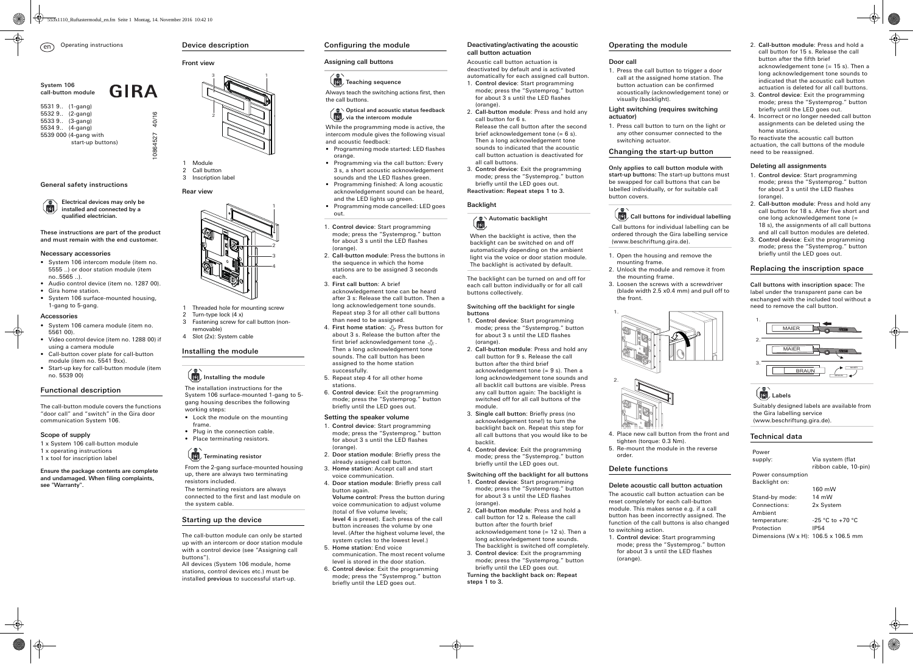These instructions are part of the product and must remain with the end customer.

### Necessary accessories

- System 106 intercom module (item no. 5555 ..) or door station module (item no..5565 ..).
- Audio control device (item no. 1287 00). • Gira home station. • System 106 surface-mounted housing,

1-gang to 5-gang.

Accessories

Ŕ.

• System 106 camera module (item no.

5561 00).

• Video control device (item no. 1288 00) if

using a camera module

• Call-button cover plate for call-button module (item no. 5541 9xx).

• Start-up key for call-button module (item

no. 5539 00)

Functional description

The call-button module covers the functions "door call" and "switch" in the Gira door

communication System 106.

Scope of supply

1 x System 106 call-button module 1 x operating instructions 1 x tool for inscription label

Ensure the package contents are complete and undamaged. When filing complaints,

see "Warranty".

installed and connected by a

qualified electrician.

## Front view

Rear view

# Installing the module

# $\left(\begin{matrix} 1 \\ 1 \end{matrix}\right)$  Installing the module

# Starting up the device

The call-button module can only be started up with an intercom or door station module with a control device (see "Assigning call buttons").

All devices (System 106 module, home stations, control devices etc.) must be installed previous to successful start-up.

- 1 Module Call button
- 3 Inscription label

- 1 Threaded hole for mounting screw
- Turn-type lock  $(4 x)$
- 3 Fastening screw for call button (nonremovable)
- 4 Slot (2x): System cable

The installation instructions for the System 106 surface-mounted 1-gang to 5 gang housing describes the following

- Lock the module on the mounting frame.
- 

- working steps:
- Plug in the connection cable.

# Place terminating resistors.

# $\sqrt{|\mathcal{Y}|}$ , Terminating resistor

From the 2-gang surface-mounted housing up, there are always two terminating resistors included. The terminating resistors are always connected to the first and last module on

the system cable.

# 1 2 3



# Configuring the module

# Assigning call buttons

# Teaching sequence

# Setting the speaker volume

- 1. Control device: Start programming mode; press the "Systemprog." button for about 3 s until the LED flashes (orange).
- 2. Door station module: Briefly press the already assigned call button.
- 3. Home station: Accept call and start voice communication.
- 4. Door station module: Briefly press call button again.

Volume control: Press the button during voice communication to adjust volume (total of five volume levels; level 4 is preset). Each press of the call button increases the volume by one level. (After the highest volume level, the system cycles to the lowest level.)

- Programming mode started: LED flashes orange.
- Programming via the call button: Every 3 s, a short acoustic acknowledgement sounds and the LED flashes green.
- Programming finished: A long acoustic acknowledgement sound can be heard, and the LED lights up green.
- Programming mode cancelled: LED goes out.
- 1. Control device: Start programming mode; press the "Systemprog." button for about 3 s until the LED flashes (orange).
- 2. Call-button module: Press the buttons in the sequence in which the home stations are to be assigned 3 seconds each.
- 3. First call button: A brief acknowledgement tone can be heard after 3 s: Release the call button. Then a long acknowledgement tone sounds. Repeat step 3 for all other call buttons than need to be assigned.
- 4. First home station:  $\sqrt{2}$  Press button for about 3 s. Release the button after the first brief acknowledgement tone  $-\mathcal{Q}$ . Then a long acknowledgement tone sounds. The call button has been assigned to the home station successfully.
- 5. Repeat step 4 for all other home stations.
- 6. Control device: Exit the programming mode; press the "Systemprog." button briefly until the LED goes out.

- 5. Home station: End voice communication. The most recent volume level is stored in the door station.
- 6. Control device: Exit the programming mode; press the "Systemprog." button briefly until the LED goes out.

Always teach the switching actions first, then the call buttons.

### Optical and acoustic status feedback 吼 via the intercom module

1. Control device: Start programming mode; press the "Systemprog." button for about 3 s until the LED flashes (orange).

While the programming mode is active, the intercom module gives the following visual and acoustic feedback:

# Deactivating/activating the acoustic call button actuation

Acoustic call button actuation is deactivated by default and is activated automatically for each assigned call button.

- 1. Control device: Start programming mode; press the "Systemprog." button for about 3 s until the LED flashes (orange).
- 2. Call-button module: Press and hold any call button for 6 s. Release the call button after the second
- brief acknowledgement tone (= 6 s). Then a long acknowledgement tone sounds to indicated that the acoustic call button actuation is deactivated for all call buttons.
- 3. Control device: Exit the programming mode; press the "Systemprog." button briefly until the LED goes out. Reactivation: Repeat steps 1 to 3.

supply: Via system (flat ribbon cable, 10-pin)

Stand-by mode: 14 mW Connections: 2x System Ambient temperature:  $-25 °C$  to +70 °C Protection IP54

## Backlight

The backlight can be turned on and off for each call button individually or for all call buttons collectively.

### Switching off the backlight for single buttons



40/16

GIRA

- 1. Control device: Start programming mode; press the "Systemprog." button for about 3 s until the LED flashes (orange).
- 2. Call-button module: Press and hold any call button for 9 s. Release the call button after the third brief acknowledgement tone (= 9 s). Then a long acknowledgement tone sounds and all backlit call buttons are visible. Press any call button again: The backlight is switched off for all call buttons of the module.
- 3. Single call button: Briefly press (no acknowledgement tone!) to turn the backlight back on. Repeat this step for all call buttons that you would like to be backlit.
- 4. Control device: Exit the programming mode; press the "Systemprog." button briefly until the LED goes out.

### Switching off the backlight for all buttons

- 1. Control device: Start programming mode; press the "Systemprog." button for about 3 s until the LED flashes (orange).
- 2. Call-button module: Press and hold a call button for 12 s. Release the call button after the fourth brief acknowledgement tone (= 12 s). Then a long acknowledgement tone sounds. The backlight is switched off completely.
- 3. Control device: Exit the programming mode; press the "Systemprog." button briefly until the LED goes out.

Turning the backlight back on: Repeat steps 1 to 3.



When the backlight is active, then the backlight can be switched on and off automatically depending on the ambient light via the voice or door station module. The backlight is activated by default.

# Operating the module

# Door call

1. Press the call button to trigger a door call at the assigned home station. The button actuation can be confirmed acoustically (acknowledgement tone) or visually (backlight).

### Light switching (requires switching actuator)

1. Press call button to turn on the light or any other consumer connected to the switching actuator.

# Changing the start-up button

Only applies to call button module with start-up buttons: The start-up buttons must be swapped for call buttons that can be labelled individually, or for suitable call button covers.

2. Unlock the module and remove it from

- 1. Open the housing and remove the mounting frame.
- the mounting frame. 3. Loosen the screws with a screwdriver the front.

(blade width 2.5 x0.4 mm) and pull off to



- 4. Place new call button from the front and tighten (torque: 0.3 Nm).
- 5. Re-mount the module in the reverse order.

# Delete functions

# Delete acoustic call button actuation

The acoustic call button actuation can be reset completely for each call-button module. This makes sense e.g. if a call button has been incorrectly assigned. The function of the call buttons is also changed to switching action.



Call buttons for individual labelling can be ordered through the Gira labelling service (www.beschriftung.gira.de).





- 2. Call-button module: Press and hold a call button for 15 s. Release the call button after the fifth brief acknowledgement tone  $(= 15 s)$ . Then a long acknowledgement tone sounds to indicated that the acoustic call button actuation is deleted for all call buttons.
- 3. Control device: Exit the programming mode; press the "Systemprog." button briefly until the LED goes out.
- 4. Incorrect or no longer needed call button assignments can be deleted using the home stations.

To reactivate the acoustic call button actuation, the call buttons of the module need to be reassigned.

## Deleting all assignments

- 1. Control device: Start programming mode; press the "Systemprog." button for about 3 s until the LED flashes (orange).
- 2. Call-button module: Press and hold any call button for 18 s. After five short and one long acknowledgement tone (= 18 s), the assignments of all call buttons and all call button modules are deleted.
- 3. Control device: Exit the programming mode; press the "Systemprog." button briefly until the LED goes out.

# Replacing the inscription space

Call buttons with inscription space: The label under the transparent pane can be exchanged with the included tool without a need to remove the call button.

# Technical data

Suitably designed labels are available from the Gira labelling service (www.beschriftung.gira.de).

Power

Power consumption Backlight on:

160 mW

Dimensions (W x H): 106.5 x 106.5 mm



# $\left(\begin{array}{c} \bullet \\ \bullet \\ \bullet \end{array}\right)$  Labels

System 106 call-button module 5531 9.. (1-gang) 5532 9.. (2-gang) 5533 9.. (3-gang) 5534 9.. (4-gang) 5539 000 (4-gang with